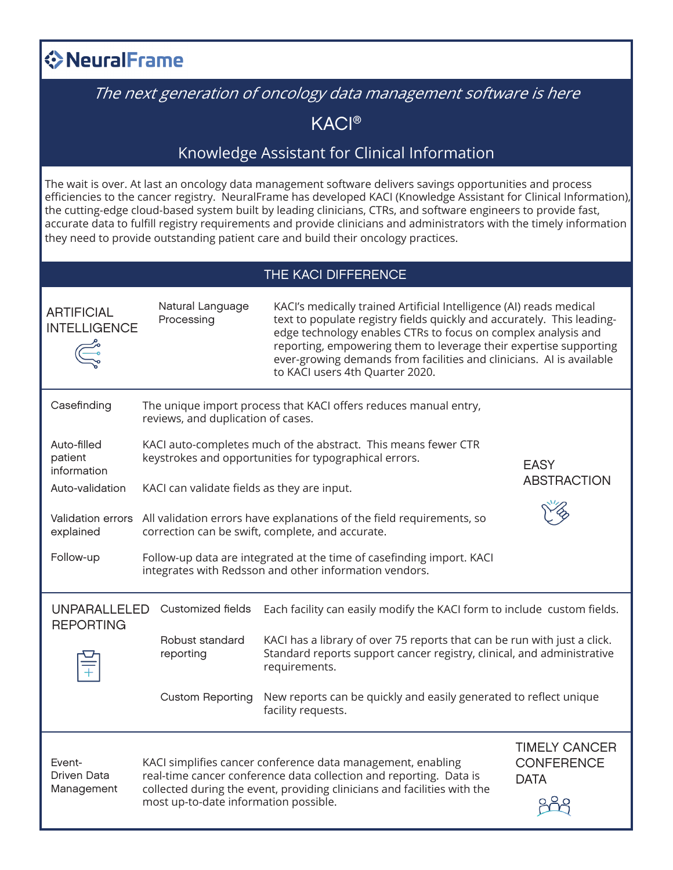## **◆NeuralFrame**

## The next generation of oncology data management software is here

KACI®

## Knowledge Assistant for Clinical Information

The wait is over. At last an oncology data management software delivers savings opportunities and process efficiencies to the cancer registry. NeuralFrame has developed KACI (Knowledge Assistant for Clinical Information), the cutting-edge cloud-based system built by leading clinicians, CTRs, and software engineers to provide fast, accurate data to fulfill registry requirements and provide clinicians and administrators with the timely information they need to provide outstanding patient care and build their oncology practices.

| THE KACI DIFFERENCE                      |                                                                                                                                 |                                                                                                                                                                                                                                                                                                                                                                                                |                                                          |  |  |  |
|------------------------------------------|---------------------------------------------------------------------------------------------------------------------------------|------------------------------------------------------------------------------------------------------------------------------------------------------------------------------------------------------------------------------------------------------------------------------------------------------------------------------------------------------------------------------------------------|----------------------------------------------------------|--|--|--|
| <b>ARTIFICIAL</b><br><b>INTELLIGENCE</b> | Natural Language<br>Processing                                                                                                  | KACI's medically trained Artificial Intelligence (AI) reads medical<br>text to populate registry fields quickly and accurately. This leading-<br>edge technology enables CTRs to focus on complex analysis and<br>reporting, empowering them to leverage their expertise supporting<br>ever-growing demands from facilities and clinicians. Al is available<br>to KACI users 4th Quarter 2020. |                                                          |  |  |  |
| Casefinding                              | reviews, and duplication of cases.                                                                                              | The unique import process that KACI offers reduces manual entry,                                                                                                                                                                                                                                                                                                                               |                                                          |  |  |  |
| Auto-filled<br>patient<br>information    |                                                                                                                                 | KACI auto-completes much of the abstract. This means fewer CTR<br>keystrokes and opportunities for typographical errors.                                                                                                                                                                                                                                                                       | <b>EASY</b>                                              |  |  |  |
| Auto-validation                          | <b>ABSTRACTION</b><br>KACI can validate fields as they are input.                                                               |                                                                                                                                                                                                                                                                                                                                                                                                |                                                          |  |  |  |
| Validation errors<br>explained           |                                                                                                                                 | All validation errors have explanations of the field requirements, so<br>correction can be swift, complete, and accurate.                                                                                                                                                                                                                                                                      |                                                          |  |  |  |
| Follow-up                                | Follow-up data are integrated at the time of casefinding import. KACI<br>integrates with Redsson and other information vendors. |                                                                                                                                                                                                                                                                                                                                                                                                |                                                          |  |  |  |
| <b>UNPARALLELED</b><br><b>REPORTING</b>  | Customized fields                                                                                                               | Each facility can easily modify the KACI form to include custom fields.                                                                                                                                                                                                                                                                                                                        |                                                          |  |  |  |
|                                          | Robust standard<br>reporting                                                                                                    | KACI has a library of over 75 reports that can be run with just a click.<br>Standard reports support cancer registry, clinical, and administrative<br>requirements.                                                                                                                                                                                                                            |                                                          |  |  |  |
|                                          | <b>Custom Reporting</b>                                                                                                         | New reports can be quickly and easily generated to reflect unique<br>facility requests.                                                                                                                                                                                                                                                                                                        |                                                          |  |  |  |
| Event-<br>Driven Data<br>Management      | most up-to-date information possible.                                                                                           | KACI simplifies cancer conference data management, enabling<br>real-time cancer conference data collection and reporting. Data is<br>collected during the event, providing clinicians and facilities with the                                                                                                                                                                                  | <b>TIMELY CANCER</b><br><b>CONFERENCE</b><br><b>DATA</b> |  |  |  |